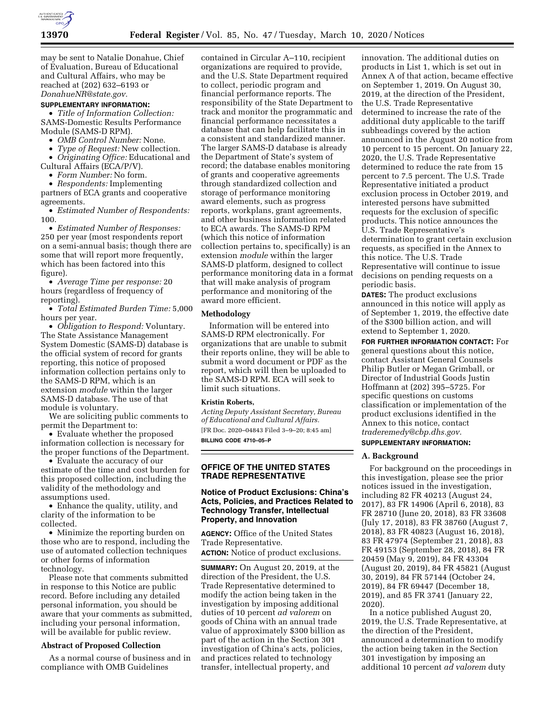

may be sent to Natalie Donahue, Chief of Evaluation, Bureau of Educational and Cultural Affairs, who may be reached at (202) 632–6193 or *[DonahueNR@state.gov.](mailto:DonahueNR@state.gov)* 

### **SUPPLEMENTARY INFORMATION:**

• *Title of Information Collection:*  SAMS-Domestic Results Performance Module (SAMS-D RPM).

• *OMB Control Number:* None.

• *Type of Request:* New collection.

• *Originating Office:* Educational and

Cultural Affairs (ECA/P/V).

• *Form Number:* No form.

• *Respondents:* Implementing partners of ECA grants and cooperative agreements.

• *Estimated Number of Respondents:*  100.

• *Estimated Number of Responses:*  250 per year (most respondents report on a semi-annual basis; though there are some that will report more frequently, which has been factored into this figure).

• *Average Time per response:* 20 hours (regardless of frequency of reporting).

• *Total Estimated Burden Time:* 5,000 hours per year.

• *Obligation to Respond:* Voluntary. The State Assistance Management System Domestic (SAMS-D) database is the official system of record for grants reporting, this notice of proposed information collection pertains only to the SAMS-D RPM, which is an extension *module* within the larger SAMS-D database. The use of that module is voluntary.

We are soliciting public comments to permit the Department to:

• Evaluate whether the proposed information collection is necessary for the proper functions of the Department.

• Evaluate the accuracy of our estimate of the time and cost burden for this proposed collection, including the validity of the methodology and assumptions used.

• Enhance the quality, utility, and clarity of the information to be collected.

• Minimize the reporting burden on those who are to respond, including the use of automated collection techniques or other forms of information technology.

Please note that comments submitted in response to this Notice are public record. Before including any detailed personal information, you should be aware that your comments as submitted, including your personal information, will be available for public review.

### **Abstract of Proposed Collection**

As a normal course of business and in compliance with OMB Guidelines

contained in Circular A–110, recipient organizations are required to provide, and the U.S. State Department required to collect, periodic program and financial performance reports. The responsibility of the State Department to track and monitor the programmatic and financial performance necessitates a database that can help facilitate this in a consistent and standardized manner. The larger SAMS-D database is already the Department of State's system of record; the database enables monitoring of grants and cooperative agreements through standardized collection and storage of performance monitoring award elements, such as progress reports, workplans, grant agreements, and other business information related to ECA awards. The SAMS-D RPM (which this notice of information collection pertains to, specifically) is an extension *module* within the larger SAMS-D platform, designed to collect performance monitoring data in a format that will make analysis of program performance and monitoring of the award more efficient.

#### **Methodology**

Information will be entered into SAMS-D RPM electronically. For organizations that are unable to submit their reports online, they will be able to submit a word document or PDF as the report, which will then be uploaded to the SAMS-D RPM. ECA will seek to limit such situations.

# **Kristin Roberts,**

*Acting Deputy Assistant Secretary, Bureau of Educational and Cultural Affairs.*  [FR Doc. 2020–04843 Filed 3–9–20; 8:45 am] **BILLING CODE 4710–05–P** 

### **OFFICE OF THE UNITED STATES TRADE REPRESENTATIVE**

# **Notice of Product Exclusions: China's Acts, Policies, and Practices Related to Technology Transfer, Intellectual Property, and Innovation**

**AGENCY:** Office of the United States Trade Representative.

**ACTION:** Notice of product exclusions.

**SUMMARY:** On August 20, 2019, at the direction of the President, the U.S. Trade Representative determined to modify the action being taken in the investigation by imposing additional duties of 10 percent *ad valorem* on goods of China with an annual trade value of approximately \$300 billion as part of the action in the Section 301 investigation of China's acts, policies, and practices related to technology transfer, intellectual property, and

innovation. The additional duties on products in List 1, which is set out in Annex A of that action, became effective on September 1, 2019. On August 30, 2019, at the direction of the President, the U.S. Trade Representative determined to increase the rate of the additional duty applicable to the tariff subheadings covered by the action announced in the August 20 notice from 10 percent to 15 percent. On January 22, 2020, the U.S. Trade Representative determined to reduce the rate from 15 percent to 7.5 percent. The U.S. Trade Representative initiated a product exclusion process in October 2019, and interested persons have submitted requests for the exclusion of specific products. This notice announces the U.S. Trade Representative's determination to grant certain exclusion requests, as specified in the Annex to this notice. The U.S. Trade Representative will continue to issue decisions on pending requests on a periodic basis.

**DATES:** The product exclusions announced in this notice will apply as of September 1, 2019, the effective date of the \$300 billion action, and will extend to September 1, 2020.

**FOR FURTHER INFORMATION CONTACT:** For general questions about this notice, contact Assistant General Counsels Philip Butler or Megan Grimball, or Director of Industrial Goods Justin Hoffmann at (202) 395–5725. For specific questions on customs classification or implementation of the product exclusions identified in the Annex to this notice, contact *[traderemedy@cbp.dhs.gov.](mailto:traderemedy@cbp.dhs.gov)* 

# **SUPPLEMENTARY INFORMATION:**

### **A. Background**

For background on the proceedings in this investigation, please see the prior notices issued in the investigation, including 82 FR 40213 (August 24, 2017), 83 FR 14906 (April 6, 2018), 83 FR 28710 (June 20, 2018), 83 FR 33608 (July 17, 2018), 83 FR 38760 (August 7, 2018), 83 FR 40823 (August 16, 2018), 83 FR 47974 (September 21, 2018), 83 FR 49153 (September 28, 2018), 84 FR 20459 (May 9, 2019), 84 FR 43304 (August 20, 2019), 84 FR 45821 (August 30, 2019), 84 FR 57144 (October 24, 2019), 84 FR 69447 (December 18, 2019), and 85 FR 3741 (January 22, 2020).

In a notice published August 20, 2019, the U.S. Trade Representative, at the direction of the President, announced a determination to modify the action being taken in the Section 301 investigation by imposing an additional 10 percent *ad valorem* duty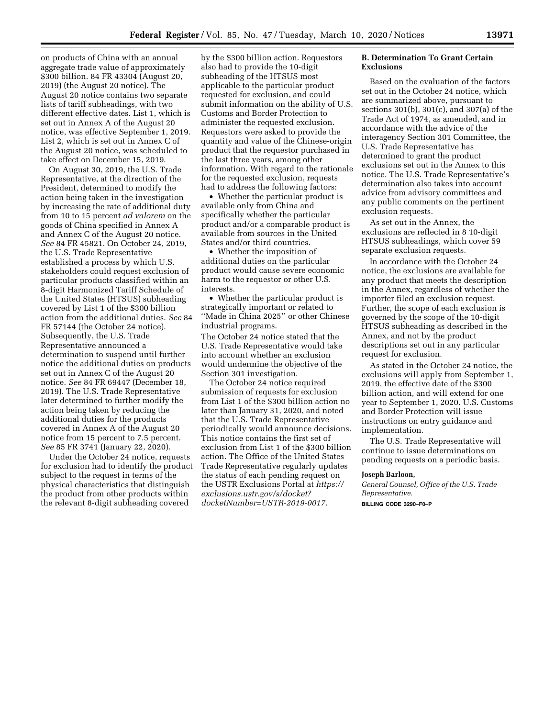on products of China with an annual aggregate trade value of approximately \$300 billion. 84 FR 43304 (August 20, 2019) (the August 20 notice). The August 20 notice contains two separate lists of tariff subheadings, with two different effective dates. List 1, which is set out in Annex A of the August 20 notice, was effective September 1, 2019. List 2, which is set out in Annex C of the August 20 notice, was scheduled to take effect on December 15, 2019.

On August 30, 2019, the U.S. Trade Representative, at the direction of the President, determined to modify the action being taken in the investigation by increasing the rate of additional duty from 10 to 15 percent *ad valorem* on the goods of China specified in Annex A and Annex C of the August 20 notice. *See* 84 FR 45821. On October 24, 2019, the U.S. Trade Representative established a process by which U.S. stakeholders could request exclusion of particular products classified within an 8-digit Harmonized Tariff Schedule of the United States (HTSUS) subheading covered by List 1 of the \$300 billion action from the additional duties. *See* 84 FR 57144 (the October 24 notice). Subsequently, the U.S. Trade Representative announced a determination to suspend until further notice the additional duties on products set out in Annex C of the August 20 notice. *See* 84 FR 69447 (December 18, 2019). The U.S. Trade Representative later determined to further modify the action being taken by reducing the additional duties for the products covered in Annex A of the August 20 notice from 15 percent to 7.5 percent. *See* 85 FR 3741 (January 22, 2020).

Under the October 24 notice, requests for exclusion had to identify the product subject to the request in terms of the physical characteristics that distinguish the product from other products within the relevant 8-digit subheading covered

by the \$300 billion action. Requestors also had to provide the 10-digit subheading of the HTSUS most applicable to the particular product requested for exclusion, and could submit information on the ability of U.S. Customs and Border Protection to administer the requested exclusion. Requestors were asked to provide the quantity and value of the Chinese-origin product that the requestor purchased in the last three years, among other information. With regard to the rationale for the requested exclusion, requests had to address the following factors:

• Whether the particular product is available only from China and specifically whether the particular product and/or a comparable product is available from sources in the United States and/or third countries.

• Whether the imposition of additional duties on the particular product would cause severe economic harm to the requestor or other U.S. interests.

• Whether the particular product is strategically important or related to ''Made in China 2025'' or other Chinese industrial programs.

The October 24 notice stated that the U.S. Trade Representative would take into account whether an exclusion would undermine the objective of the Section 301 investigation.

The October 24 notice required submission of requests for exclusion from List 1 of the \$300 billion action no later than January 31, 2020, and noted that the U.S. Trade Representative periodically would announce decisions. This notice contains the first set of exclusion from List 1 of the \$300 billion action. The Office of the United States Trade Representative regularly updates the status of each pending request on the USTR Exclusions Portal at *[https://](https://exclusions.ustr.gov/s/docket?docketNumber=USTR-2019-0017) [exclusions.ustr.gov/s/docket?](https://exclusions.ustr.gov/s/docket?docketNumber=USTR-2019-0017) [docketNumber=USTR-2019-0017.](https://exclusions.ustr.gov/s/docket?docketNumber=USTR-2019-0017)* 

# **B. Determination To Grant Certain Exclusions**

Based on the evaluation of the factors set out in the October 24 notice, which are summarized above, pursuant to sections 301(b), 301(c), and 307(a) of the Trade Act of 1974, as amended, and in accordance with the advice of the interagency Section 301 Committee, the U.S. Trade Representative has determined to grant the product exclusions set out in the Annex to this notice. The U.S. Trade Representative's determination also takes into account advice from advisory committees and any public comments on the pertinent exclusion requests.

As set out in the Annex, the exclusions are reflected in 8 10-digit HTSUS subheadings, which cover 59 separate exclusion requests.

In accordance with the October 24 notice, the exclusions are available for any product that meets the description in the Annex, regardless of whether the importer filed an exclusion request. Further, the scope of each exclusion is governed by the scope of the 10-digit HTSUS subheading as described in the Annex, and not by the product descriptions set out in any particular request for exclusion.

As stated in the October 24 notice, the exclusions will apply from September 1, 2019, the effective date of the \$300 billion action, and will extend for one year to September 1, 2020. U.S. Customs and Border Protection will issue instructions on entry guidance and implementation.

The U.S. Trade Representative will continue to issue determinations on pending requests on a periodic basis.

# **Joseph Barloon,**

*General Counsel, Office of the U.S. Trade Representative.* 

**BILLING CODE 3290–F0–P**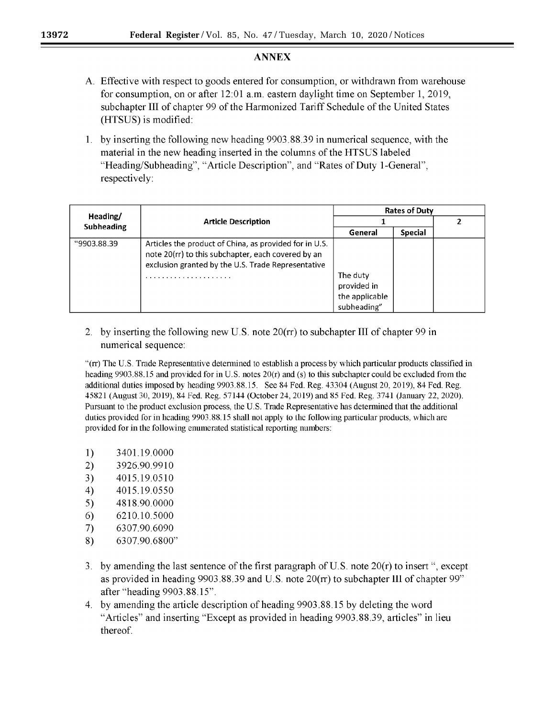# **ANNEX**

- A. Effective with respect to goods entered for consumption, or withdrawn from warehouse for consumption, on or after  $12:01$  a.m. eastern daylight time on September 1, 2019, subchapter III of chapter 99 of the Harmonized Tariff Schedule of the United States (HTSUS) is modified:
- 1. by inserting the following new heading 9903.88.39 in numerical sequence, with the material in the new heading inserted in the columns of the HTSUS labeled "Heading/Subheading", "Article Description", and "Rates of Duty 1-General", respectively:

| Heading/<br>Subheading | <b>Article Description</b>                                                                                                                                              | <b>Rates of Duty</b>                                     |                |  |
|------------------------|-------------------------------------------------------------------------------------------------------------------------------------------------------------------------|----------------------------------------------------------|----------------|--|
|                        |                                                                                                                                                                         |                                                          |                |  |
|                        |                                                                                                                                                                         | General                                                  | <b>Special</b> |  |
| "9903.88.39            | Articles the product of China, as provided for in U.S.<br>note 20(rr) to this subchapter, each covered by an<br>exclusion granted by the U.S. Trade Representative<br>. | The duty<br>provided in<br>the applicable<br>subheading" |                |  |

2. by inserting the following new U.S. note 20(rr) to subchapter III of chapter 99 in numerical sequence:

"(rr) The U.S. Trade Representative determined to establish a process by which particular products classified in heading 9903.88.15 and provided for in U.S. notes 20(r) and (s) to this subchapter could be excluded from the additional duties imposed by heading 9903.88.15. See 84 Fed. Reg. 43304 (August 20, 2019), 84 Fed. Reg. 45821 (August 30, 2019), 84 Fed. Reg. 57144 (October 24, 2019) and 85 Fed. Reg. 3741 (January 22, 2020). Pursuant to the product exclusion process, the U.S. Trade Representative has determined that the additional duties provided for in heading 9903.88.15 shall not apply to the following particular products, which are provided for in the following enumerated statistical reporting numbers:

- $1)$ 3401.19.0000
- $2)$ 3926.90.9910
- 3) 4015.19.0510
- $4)$ 4015.19.0550
- $5)$ 4818.90.0000
- 6) 6210.10.5000
- 7) 6307.90.6090
- 8) 6307.90.6800"
- 3. by amending the last sentence of the first paragraph of U.S. note  $20(r)$  to insert ", except as provided in heading 9903.88.39 and U.S. note 20(rr) to subchapter III of chapter 99" after "heading 9903.88.15".
- 4. by amending the article description of heading 9903.88.15 by deleting the word "Articles" and inserting "Except as provided in heading 9903.88.39, articles" in lieu thereof.